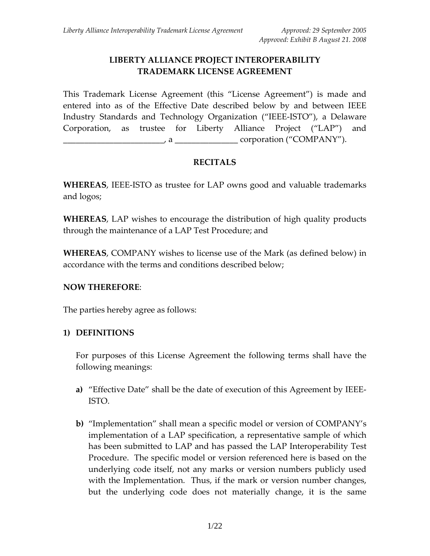# **LIBERTY ALLIANCE PROJECT INTEROPERABILITY TRADEMARK LICENSE AGREEMENT**

This Trademark License Agreement (this "License Agreement") is made and entered into as of the Effective Date described below by and between IEEE Industry Standards and Technology Organization ("IEEE‐ISTO"), a Delaware Corporation, as trustee for Liberty Alliance Project ("LAP") and , a  $\qquad \qquad \text{corporation ("COMPANY").$ 

## **RECITALS**

**WHEREAS**, IEEE‐ISTO as trustee for LAP owns good and valuable trademarks and logos;

**WHEREAS**, LAP wishes to encourage the distribution of high quality products through the maintenance of a LAP Test Procedure; and

**WHEREAS**, COMPANY wishes to license use of the Mark (as defined below) in accordance with the terms and conditions described below;

### **NOW THEREFORE**:

The parties hereby agree as follows:

## **1) DEFINITIONS**

For purposes of this License Agreement the following terms shall have the following meanings:

- **a)** "Effective Date" shall be the date of execution of this Agreement by IEEE‐ ISTO.
- **b)** "Implementation" shall mean a specific model or version of COMPANY's implementation of a LAP specification, a representative sample of which has been submitted to LAP and has passed the LAP Interoperability Test Procedure. The specific model or version referenced here is based on the underlying code itself, not any marks or version numbers publicly used with the Implementation. Thus, if the mark or version number changes, but the underlying code does not materially change, it is the same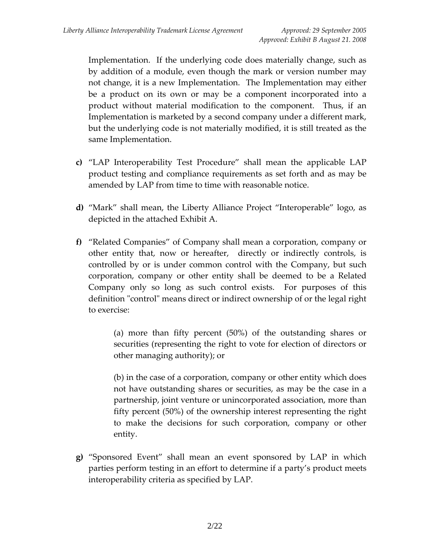Implementation. If the underlying code does materially change, such as by addition of a module, even though the mark or version number may not change, it is a new Implementation. The Implementation may either be a product on its own or may be a component incorporated into a product without material modification to the component. Thus, if an Implementation is marketed by a second company under a different mark, but the underlying code is not materially modified, it is still treated as the same Implementation.

- **c)** "LAP Interoperability Test Procedure" shall mean the applicable LAP product testing and compliance requirements as set forth and as may be amended by LAP from time to time with reasonable notice.
- **d)** "Mark" shall mean, the Liberty Alliance Project "Interoperable" logo, as depicted in the attached Exhibit A.
- **f)** "Related Companies" of Company shall mean a corporation, company or other entity that, now or hereafter, directly or indirectly controls, is controlled by or is under common control with the Company, but such corporation, company or other entity shall be deemed to be a Related Company only so long as such control exists. For purposes of this definition "control" means direct or indirect ownership of or the legal right to exercise:

(a) more than fifty percent (50%) of the outstanding shares or securities (representing the right to vote for election of directors or other managing authority); or

(b) in the case of a corporation, company or other entity which does not have outstanding shares or securities, as may be the case in a partnership, joint venture or unincorporated association, more than fifty percent (50%) of the ownership interest representing the right to make the decisions for such corporation, company or other entity.

**g)** "Sponsored Event" shall mean an event sponsored by LAP in which parties perform testing in an effort to determine if a party's product meets interoperability criteria as specified by LAP.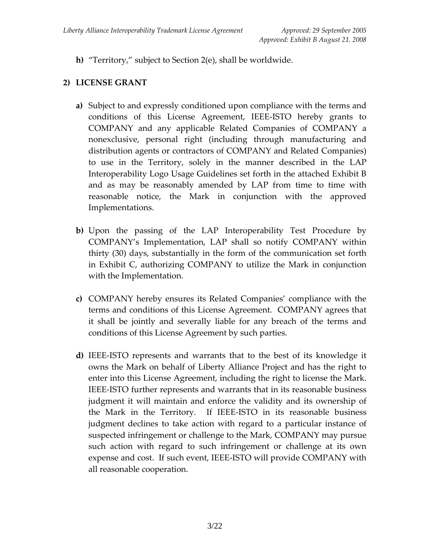**h)** "Territory," subject to Section 2(e), shall be worldwide.

## **2) LICENSE GRANT**

- **a)** Subject to and expressly conditioned upon compliance with the terms and conditions of this License Agreement, IEEE‐ISTO hereby grants to COMPANY and any applicable Related Companies of COMPANY a nonexclusive, personal right (including through manufacturing and distribution agents or contractors of COMPANY and Related Companies) to use in the Territory, solely in the manner described in the LAP Interoperability Logo Usage Guidelines set forth in the attached Exhibit B and as may be reasonably amended by LAP from time to time with reasonable notice, the Mark in conjunction with the approved Implementations.
- **b)** Upon the passing of the LAP Interoperability Test Procedure by COMPANY's Implementation, LAP shall so notify COMPANY within thirty (30) days, substantially in the form of the communication set forth in Exhibit C, authorizing COMPANY to utilize the Mark in conjunction with the Implementation.
- **c)** COMPANY hereby ensures its Related Companies' compliance with the terms and conditions of this License Agreement. COMPANY agrees that it shall be jointly and severally liable for any breach of the terms and conditions of this License Agreement by such parties.
- **d)** IEEE‐ISTO represents and warrants that to the best of its knowledge it owns the Mark on behalf of Liberty Alliance Project and has the right to enter into this License Agreement, including the right to license the Mark. IEEE‐ISTO further represents and warrants that in its reasonable business judgment it will maintain and enforce the validity and its ownership of the Mark in the Territory. If IEEE‐ISTO in its reasonable business judgment declines to take action with regard to a particular instance of suspected infringement or challenge to the Mark, COMPANY may pursue such action with regard to such infringement or challenge at its own expense and cost. If such event, IEEE‐ISTO will provide COMPANY with all reasonable cooperation.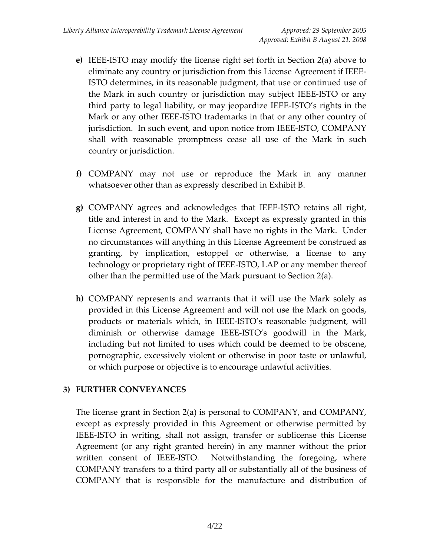- **e)** IEEE‐ISTO may modify the license right set forth in Section 2(a) above to eliminate any country or jurisdiction from this License Agreement if IEEE‐ ISTO determines, in its reasonable judgment, that use or continued use of the Mark in such country or jurisdiction may subject IEEE‐ISTO or any third party to legal liability, or may jeopardize IEEE‐ISTO's rights in the Mark or any other IEEE‐ISTO trademarks in that or any other country of jurisdiction. In such event, and upon notice from IEEE‐ISTO, COMPANY shall with reasonable promptness cease all use of the Mark in such country or jurisdiction.
- **f)** COMPANY may not use or reproduce the Mark in any manner whatsoever other than as expressly described in Exhibit B.
- **g)** COMPANY agrees and acknowledges that IEEE‐ISTO retains all right, title and interest in and to the Mark. Except as expressly granted in this License Agreement, COMPANY shall have no rights in the Mark. Under no circumstances will anything in this License Agreement be construed as granting, by implication, estoppel or otherwise, a license to any technology or proprietary right of IEEE‐ISTO, LAP or any member thereof other than the permitted use of the Mark pursuant to Section 2(a).
- **h)** COMPANY represents and warrants that it will use the Mark solely as provided in this License Agreement and will not use the Mark on goods, products or materials which, in IEEE‐ISTO's reasonable judgment, will diminish or otherwise damage IEEE‐ISTO's goodwill in the Mark, including but not limited to uses which could be deemed to be obscene, pornographic, excessively violent or otherwise in poor taste or unlawful, or which purpose or objective is to encourage unlawful activities.

### **3) FURTHER CONVEYANCES**

The license grant in Section 2(a) is personal to COMPANY, and COMPANY, except as expressly provided in this Agreement or otherwise permitted by IEEE‐ISTO in writing, shall not assign, transfer or sublicense this License Agreement (or any right granted herein) in any manner without the prior written consent of IEEE-ISTO. Notwithstanding the foregoing, where COMPANY transfers to a third party all or substantially all of the business of COMPANY that is responsible for the manufacture and distribution of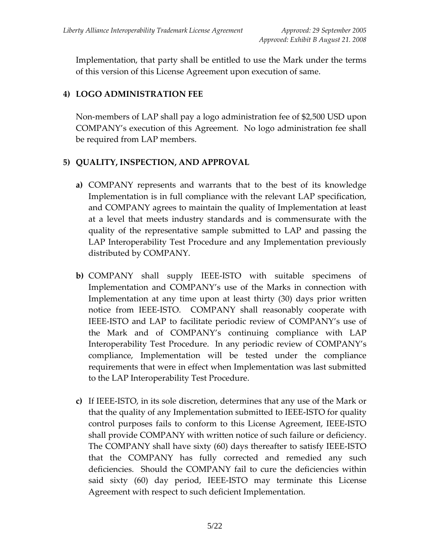Implementation, that party shall be entitled to use the Mark under the terms of this version of this License Agreement upon execution of same.

## **4) LOGO ADMINISTRATION FEE**

Non‐members of LAP shall pay a logo administration fee of \$2,500 USD upon COMPANY's execution of this Agreement. No logo administration fee shall be required from LAP members.

## **5) QUALITY, INSPECTION, AND APPROVAL**

- **a)** COMPANY represents and warrants that to the best of its knowledge Implementation is in full compliance with the relevant LAP specification, and COMPANY agrees to maintain the quality of Implementation at least at a level that meets industry standards and is commensurate with the quality of the representative sample submitted to LAP and passing the LAP Interoperability Test Procedure and any Implementation previously distributed by COMPANY.
- **b)** COMPANY shall supply IEEE‐ISTO with suitable specimens of Implementation and COMPANY's use of the Marks in connection with Implementation at any time upon at least thirty (30) days prior written notice from IEEE-ISTO. COMPANY shall reasonably cooperate with IEEE‐ISTO and LAP to facilitate periodic review of COMPANY's use of the Mark and of COMPANY's continuing compliance with LAP Interoperability Test Procedure. In any periodic review of COMPANY's compliance, Implementation will be tested under the compliance requirements that were in effect when Implementation was last submitted to the LAP Interoperability Test Procedure.
- **c)** If IEEE‐ISTO, in its sole discretion, determines that any use of the Mark or that the quality of any Implementation submitted to IEEE‐ISTO for quality control purposes fails to conform to this License Agreement, IEEE‐ISTO shall provide COMPANY with written notice of such failure or deficiency. The COMPANY shall have sixty (60) days thereafter to satisfy IEEE‐ISTO that the COMPANY has fully corrected and remedied any such deficiencies. Should the COMPANY fail to cure the deficiencies within said sixty (60) day period, IEEE‐ISTO may terminate this License Agreement with respect to such deficient Implementation.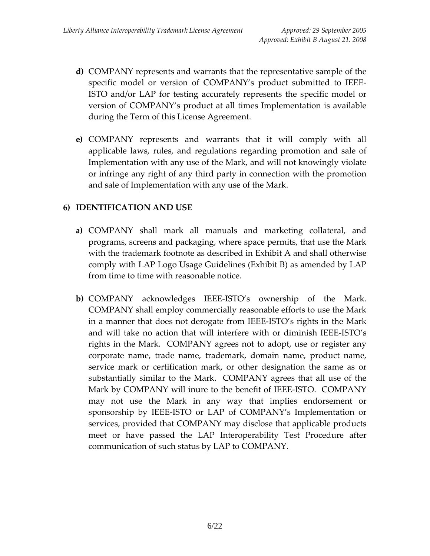- **d)** COMPANY represents and warrants that the representative sample of the specific model or version of COMPANY's product submitted to IEEE‐ ISTO and/or LAP for testing accurately represents the specific model or version of COMPANY's product at all times Implementation is available during the Term of this License Agreement.
- **e)** COMPANY represents and warrants that it will comply with all applicable laws, rules, and regulations regarding promotion and sale of Implementation with any use of the Mark, and will not knowingly violate or infringe any right of any third party in connection with the promotion and sale of Implementation with any use of the Mark.

## **6) IDENTIFICATION AND USE**

- **a)** COMPANY shall mark all manuals and marketing collateral, and programs, screens and packaging, where space permits, that use the Mark with the trademark footnote as described in Exhibit A and shall otherwise comply with LAP Logo Usage Guidelines (Exhibit B) as amended by LAP from time to time with reasonable notice.
- **b)** COMPANY acknowledges IEEE‐ISTO's ownership of the Mark. COMPANY shall employ commercially reasonable efforts to use the Mark in a manner that does not derogate from IEEE‐ISTO's rights in the Mark and will take no action that will interfere with or diminish IEEE‐ISTO's rights in the Mark. COMPANY agrees not to adopt, use or register any corporate name, trade name, trademark, domain name, product name, service mark or certification mark, or other designation the same as or substantially similar to the Mark. COMPANY agrees that all use of the Mark by COMPANY will inure to the benefit of IEEE‐ISTO. COMPANY may not use the Mark in any way that implies endorsement or sponsorship by IEEE‐ISTO or LAP of COMPANY's Implementation or services, provided that COMPANY may disclose that applicable products meet or have passed the LAP Interoperability Test Procedure after communication of such status by LAP to COMPANY.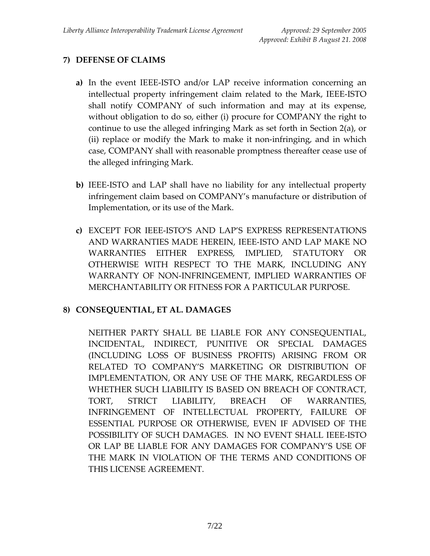# **7) DEFENSE OF CLAIMS**

- **a)** In the event IEEE‐ISTO and/or LAP receive information concerning an intellectual property infringement claim related to the Mark, IEEE‐ISTO shall notify COMPANY of such information and may at its expense, without obligation to do so, either (i) procure for COMPANY the right to continue to use the alleged infringing Mark as set forth in Section 2(a), or (ii) replace or modify the Mark to make it non‐infringing, and in which case, COMPANY shall with reasonable promptness thereafter cease use of the alleged infringing Mark.
- **b)** IEEE‐ISTO and LAP shall have no liability for any intellectual property infringement claim based on COMPANY's manufacture or distribution of Implementation, or its use of the Mark.
- **c)** EXCEPT FOR IEEE‐ISTO'S AND LAP'S EXPRESS REPRESENTATIONS AND WARRANTIES MADE HEREIN, IEEE‐ISTO AND LAP MAKE NO WARRANTIES EITHER EXPRESS, IMPLIED, STATUTORY OR OTHERWISE WITH RESPECT TO THE MARK, INCLUDING ANY WARRANTY OF NON‐INFRINGEMENT, IMPLIED WARRANTIES OF MERCHANTABILITY OR FITNESS FOR A PARTICULAR PURPOSE.

## **8) CONSEQUENTIAL, ET AL. DAMAGES**

NEITHER PARTY SHALL BE LIABLE FOR ANY CONSEQUENTIAL, INCIDENTAL, INDIRECT, PUNITIVE OR SPECIAL DAMAGES (INCLUDING LOSS OF BUSINESS PROFITS) ARISING FROM OR RELATED TO COMPANY'S MARKETING OR DISTRIBUTION OF IMPLEMENTATION, OR ANY USE OF THE MARK, REGARDLESS OF WHETHER SUCH LIABILITY IS BASED ON BREACH OF CONTRACT, TORT, STRICT LIABILITY, BREACH OF WARRANTIES, INFRINGEMENT OF INTELLECTUAL PROPERTY, FAILURE OF ESSENTIAL PURPOSE OR OTHERWISE, EVEN IF ADVISED OF THE POSSIBILITY OF SUCH DAMAGES. IN NO EVENT SHALL IEEE‐ISTO OR LAP BE LIABLE FOR ANY DAMAGES FOR COMPANY'S USE OF THE MARK IN VIOLATION OF THE TERMS AND CONDITIONS OF THIS LICENSE AGREEMENT.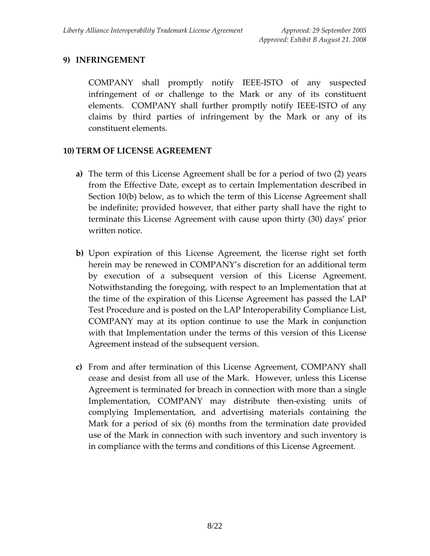## **9) INFRINGEMENT**

COMPANY shall promptly notify IEEE‐ISTO of any suspected infringement of or challenge to the Mark or any of its constituent elements. COMPANY shall further promptly notify IEEE-ISTO of any claims by third parties of infringement by the Mark or any of its constituent elements.

### **10) TERM OF LICENSE AGREEMENT**

- **a)** The term of this License Agreement shall be for a period of two (2) years from the Effective Date, except as to certain Implementation described in Section 10(b) below, as to which the term of this License Agreement shall be indefinite; provided however, that either party shall have the right to terminate this License Agreement with cause upon thirty (30) days' prior written notice.
- **b)** Upon expiration of this License Agreement, the license right set forth herein may be renewed in COMPANY's discretion for an additional term by execution of a subsequent version of this License Agreement. Notwithstanding the foregoing, with respect to an Implementation that at the time of the expiration of this License Agreement has passed the LAP Test Procedure and is posted on the LAP Interoperability Compliance List, COMPANY may at its option continue to use the Mark in conjunction with that Implementation under the terms of this version of this License Agreement instead of the subsequent version.
- **c)** From and after termination of this License Agreement, COMPANY shall cease and desist from all use of the Mark. However, unless this License Agreement is terminated for breach in connection with more than a single Implementation, COMPANY may distribute then-existing units of complying Implementation, and advertising materials containing the Mark for a period of six (6) months from the termination date provided use of the Mark in connection with such inventory and such inventory is in compliance with the terms and conditions of this License Agreement.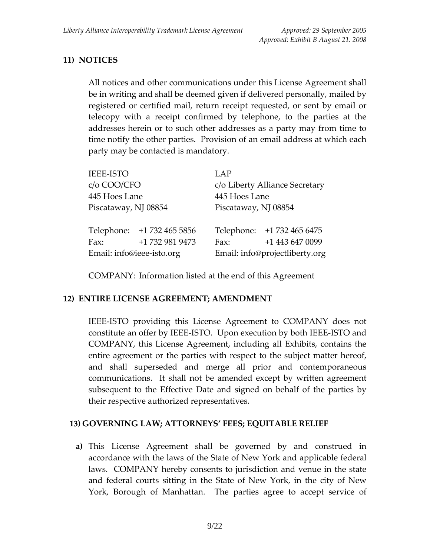# **11) NOTICES**

All notices and other communications under this License Agreement shall be in writing and shall be deemed given if delivered personally, mailed by registered or certified mail, return receipt requested, or sent by email or telecopy with a receipt confirmed by telephone, to the parties at the addresses herein or to such other addresses as a party may from time to time notify the other parties. Provision of an email address at which each party may be contacted is mandatory.

| <b>IEEE-ISTO</b>          |                            | LAP                            |                            |
|---------------------------|----------------------------|--------------------------------|----------------------------|
| c/o COO/CFO               |                            | c/o Liberty Alliance Secretary |                            |
| 445 Hoes Lane             |                            | 445 Hoes Lane                  |                            |
| Piscataway, NJ 08854      |                            | Piscataway, NJ 08854           |                            |
|                           | Telephone: +1 732 465 5856 |                                | Telephone: +1 732 465 6475 |
| Fax:                      | +1 732 981 9473            | Fax:                           | +1 443 647 0099            |
| Email: info@ieee-isto.org |                            | Email: info@projectliberty.org |                            |

COMPANY: Information listed at the end of this Agreement

### **12) ENTIRE LICENSE AGREEMENT; AMENDMENT**

IEEE‐ISTO providing this License Agreement to COMPANY does not constitute an offer by IEEE‐ISTO. Upon execution by both IEEE‐ISTO and COMPANY, this License Agreement, including all Exhibits, contains the entire agreement or the parties with respect to the subject matter hereof, and shall superseded and merge all prior and contemporaneous communications. It shall not be amended except by written agreement subsequent to the Effective Date and signed on behalf of the parties by their respective authorized representatives.

### **13) GOVERNING LAW; ATTORNEYS' FEES; EQUITABLE RELIEF**

**a)** This License Agreement shall be governed by and construed in accordance with the laws of the State of New York and applicable federal laws. COMPANY hereby consents to jurisdiction and venue in the state and federal courts sitting in the State of New York, in the city of New York, Borough of Manhattan. The parties agree to accept service of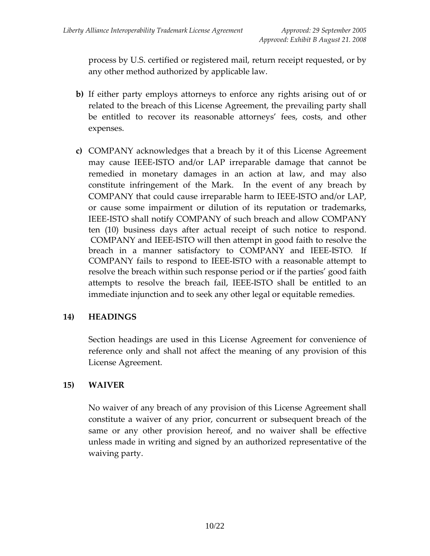process by U.S. certified or registered mail, return receipt requested, or by any other method authorized by applicable law.

- **b)** If either party employs attorneys to enforce any rights arising out of or related to the breach of this License Agreement, the prevailing party shall be entitled to recover its reasonable attorneys' fees, costs, and other expenses.
- **c)** COMPANY acknowledges that a breach by it of this License Agreement may cause IEEE‐ISTO and/or LAP irreparable damage that cannot be remedied in monetary damages in an action at law, and may also constitute infringement of the Mark. In the event of any breach by COMPANY that could cause irreparable harm to IEEE‐ISTO and/or LAP, or cause some impairment or dilution of its reputation or trademarks, IEEE‐ISTO shall notify COMPANY of such breach and allow COMPANY ten (10) business days after actual receipt of such notice to respond. COMPANY and IEEE-ISTO will then attempt in good faith to resolve the breach in a manner satisfactory to COMPANY and IEEE-ISTO. If COMPANY fails to respond to IEEE-ISTO with a reasonable attempt to resolve the breach within such response period or if the parties' good faith attempts to resolve the breach fail, IEEE-ISTO shall be entitled to an immediate injunction and to seek any other legal or equitable remedies.

## **14) HEADINGS**

Section headings are used in this License Agreement for convenience of reference only and shall not affect the meaning of any provision of this License Agreement.

## **15) WAIVER**

 No waiver of any breach of any provision of this License Agreement shall constitute a waiver of any prior, concurrent or subsequent breach of the same or any other provision hereof, and no waiver shall be effective unless made in writing and signed by an authorized representative of the waiving party.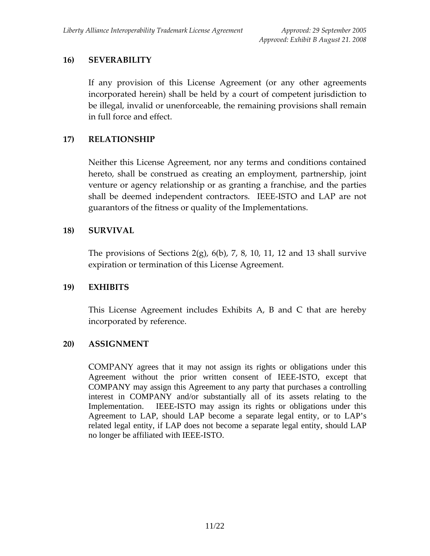## **16) SEVERABILITY**

If any provision of this License Agreement (or any other agreements incorporated herein) shall be held by a court of competent jurisdiction to be illegal, invalid or unenforceable, the remaining provisions shall remain in full force and effect.

## **17) RELATIONSHIP**

Neither this License Agreement, nor any terms and conditions contained hereto, shall be construed as creating an employment, partnership, joint venture or agency relationship or as granting a franchise, and the parties shall be deemed independent contractors. IEEE‐ISTO and LAP are not guarantors of the fitness or quality of the Implementations.

## **18) SURVIVAL**

The provisions of Sections 2(g),  $6(b)$ , 7, 8, 10, 11, 12 and 13 shall survive expiration or termination of this License Agreement.

### **19) EXHIBITS**

This License Agreement includes Exhibits A, B and C that are hereby incorporated by reference.

### **20) ASSIGNMENT**

COMPANY agrees that it may not assign its rights or obligations under this Agreement without the prior written consent of IEEE-ISTO, except that COMPANY may assign this Agreement to any party that purchases a controlling interest in COMPANY and/or substantially all of its assets relating to the Implementation. IEEE-ISTO may assign its rights or obligations under this Agreement to LAP, should LAP become a separate legal entity, or to LAP's related legal entity, if LAP does not become a separate legal entity, should LAP no longer be affiliated with IEEE-ISTO.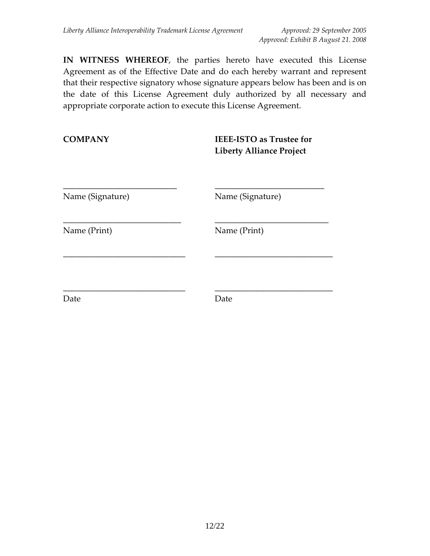**IN WITNESS WHEREOF**, the parties hereto have executed this License Agreement as of the Effective Date and do each hereby warrant and represent that their respective signatory whose signature appears below has been and is on the date of this License Agreement duly authorized by all necessary and appropriate corporate action to execute this License Agreement.

**COMPANY IEEE‐ISTO as Trustee for Liberty Alliance Project** \_\_\_\_\_\_\_\_\_\_\_\_\_\_\_\_\_\_\_\_\_\_\_\_\_\_\_ \_\_\_\_\_\_\_\_\_\_\_\_\_\_\_\_\_\_\_\_\_\_\_\_\_\_ Name (Signature) Name (Signature) \_\_\_\_\_\_\_\_\_\_\_\_\_\_\_\_\_\_\_\_\_\_\_\_\_\_\_\_ \_\_\_\_\_\_\_\_\_\_\_\_\_\_\_\_\_\_\_\_\_\_\_\_\_\_\_

\_\_\_\_\_\_\_\_\_\_\_\_\_\_\_\_\_\_\_\_\_\_\_\_\_\_\_\_\_ \_\_\_\_\_\_\_\_\_\_\_\_\_\_\_\_\_\_\_\_\_\_\_\_\_\_\_\_

\_\_\_\_\_\_\_\_\_\_\_\_\_\_\_\_\_\_\_\_\_\_\_\_\_\_\_\_\_ \_\_\_\_\_\_\_\_\_\_\_\_\_\_\_\_\_\_\_\_\_\_\_\_\_\_\_\_

Name (Print) Name (Print)

Date **Date Date**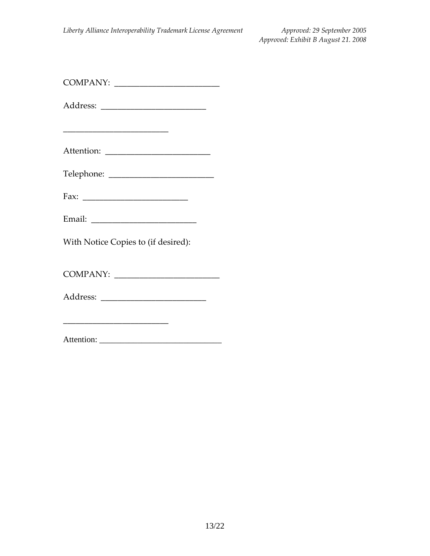| <b>COMPANY</b> |  |
|----------------|--|
|----------------|--|

Address: \_\_\_\_\_\_\_\_\_\_\_\_\_\_\_\_\_\_\_\_\_\_\_\_\_

Attention: \_\_\_\_\_\_\_\_\_\_\_\_\_\_\_\_\_\_\_\_\_\_\_\_\_

Telephone: \_\_\_\_\_\_\_\_\_\_\_\_\_\_\_\_\_\_\_\_\_\_\_\_\_

Fax: \_\_\_\_\_\_\_\_\_\_\_\_\_\_\_\_\_\_\_\_\_\_\_\_\_

With Notice Copies to (if desired):

COMPANY: \_\_\_\_\_\_\_\_\_\_\_\_\_\_\_\_\_\_\_\_\_\_\_\_\_

Address: \_\_\_\_\_\_\_\_\_\_\_\_\_\_\_\_\_\_\_\_\_\_\_\_\_

\_\_\_\_\_\_\_\_\_\_\_\_\_\_\_\_\_\_\_\_\_\_\_\_\_

Attention: \_\_\_\_\_\_\_\_\_\_\_\_\_\_\_\_\_\_\_\_\_\_\_\_\_\_\_\_\_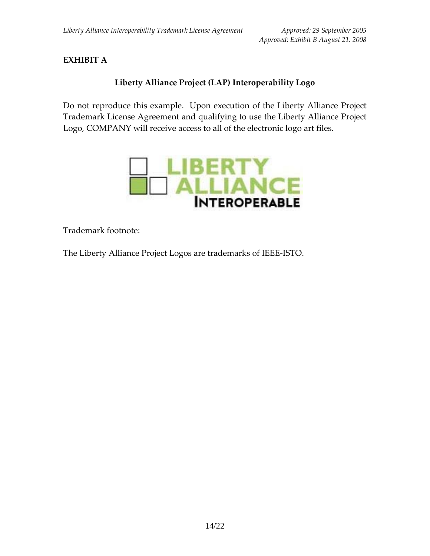# **EXHIBIT A**

# **Liberty Alliance Project (LAP) Interoperability Logo**

Do not reproduce this example. Upon execution of the Liberty Alliance Project Trademark License Agreement and qualifying to use the Liberty Alliance Project Logo, COMPANY will receive access to all of the electronic logo art files.



Trademark footnote:

The Liberty Alliance Project Logos are trademarks of IEEE‐ISTO.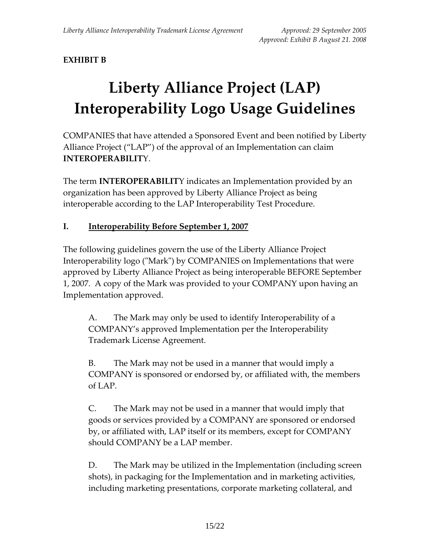# **EXHIBIT B**

# **Liberty Alliance Project (LAP) Interoperability Logo Usage Guidelines**

COMPANIES that have attended a Sponsored Event and been notified by Liberty Alliance Project ("LAP") of the approval of an Implementation can claim **INTEROPERABILIT**Y.

The term **INTEROPERABILIT**Y indicates an Implementation provided by an organization has been approved by Liberty Alliance Project as being interoperable according to the LAP Interoperability Test Procedure.

## **I. Interoperability Before September 1, 2007**

The following guidelines govern the use of the Liberty Alliance Project Interoperability logo ("Mark") by COMPANIES on Implementations that were approved by Liberty Alliance Project as being interoperable BEFORE September 1, 2007. A copy of the Mark was provided to your COMPANY upon having an Implementation approved.

A. The Mark may only be used to identify Interoperability of a COMPANY's approved Implementation per the Interoperability Trademark License Agreement.

B. The Mark may not be used in a manner that would imply a COMPANY is sponsored or endorsed by, or affiliated with, the members of LAP.

C. The Mark may not be used in a manner that would imply that goods or services provided by a COMPANY are sponsored or endorsed by, or affiliated with, LAP itself or its members, except for COMPANY should COMPANY be a LAP member.

D. The Mark may be utilized in the Implementation (including screen shots), in packaging for the Implementation and in marketing activities, including marketing presentations, corporate marketing collateral, and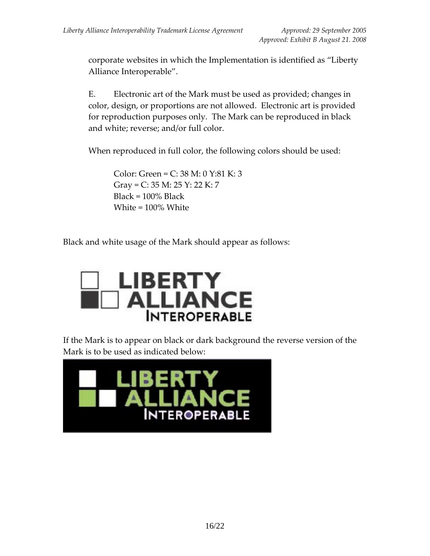corporate websites in which the Implementation is identified as "Liberty Alliance Interoperable".

E. Electronic art of the Mark must be used as provided; changes in color, design, or proportions are not allowed. Electronic art is provided for reproduction purposes only. The Mark can be reproduced in black and white; reverse; and/or full color.

When reproduced in full color, the following colors should be used:

Color: Green = C: 38 M: 0 Y:81 K: 3 Gray = C: 35 M: 25 Y: 22 K: 7 Black = 100% Black White = 100% White

Black and white usage of the Mark should appear as follows:



If the Mark is to appear on black or dark background the reverse version of the Mark is to be used as indicated below:

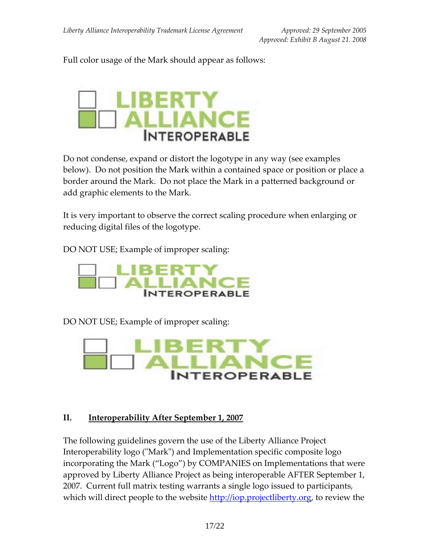Full color usage of the Mark should appear as follows:



Do not condense, expand or distort the logotype in any way (see examples below). Do not position the Mark within a contained space or position or place a border around the Mark. Do not place the Mark in a patterned background or add graphic elements to the Mark.

It is very important to observe the correct scaling procedure when enlarging or reducing digital files of the logotype.

DO NOT USE; Example of improper scaling:



DO NOT USE; Example of improper scaling:



#### **II. Interoperability After September 1, 2007**

The following guidelines govern the use of the Liberty Alliance Project Interoperability logo ("Mark") and Implementation specific composite logo incorporating the Mark ("Logo") by COMPANIES on Implementations that were approved by Liberty Alliance Project as being interoperable AFTER September 1, 2007. Current full matrix testing warrants a single logo issued to participants, which will direct people to the website http://iop.projectliberty.org, to review the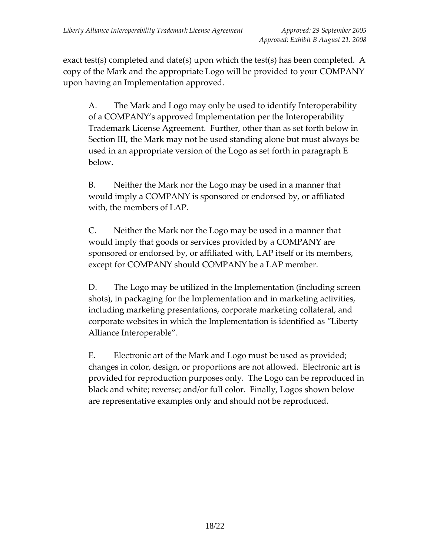exact test(s) completed and date(s) upon which the test(s) has been completed. A copy of the Mark and the appropriate Logo will be provided to your COMPANY upon having an Implementation approved.

A. The Mark and Logo may only be used to identify Interoperability of a COMPANY's approved Implementation per the Interoperability Trademark License Agreement. Further, other than as set forth below in Section III, the Mark may not be used standing alone but must always be used in an appropriate version of the Logo as set forth in paragraph E below.

B. Neither the Mark nor the Logo may be used in a manner that would imply a COMPANY is sponsored or endorsed by, or affiliated with, the members of LAP.

C. Neither the Mark nor the Logo may be used in a manner that would imply that goods or services provided by a COMPANY are sponsored or endorsed by, or affiliated with, LAP itself or its members, except for COMPANY should COMPANY be a LAP member.

D. The Logo may be utilized in the Implementation (including screen shots), in packaging for the Implementation and in marketing activities, including marketing presentations, corporate marketing collateral, and corporate websites in which the Implementation is identified as "Liberty Alliance Interoperable".

E. Electronic art of the Mark and Logo must be used as provided; changes in color, design, or proportions are not allowed. Electronic art is provided for reproduction purposes only. The Logo can be reproduced in black and white; reverse; and/or full color. Finally, Logos shown below are representative examples only and should not be reproduced.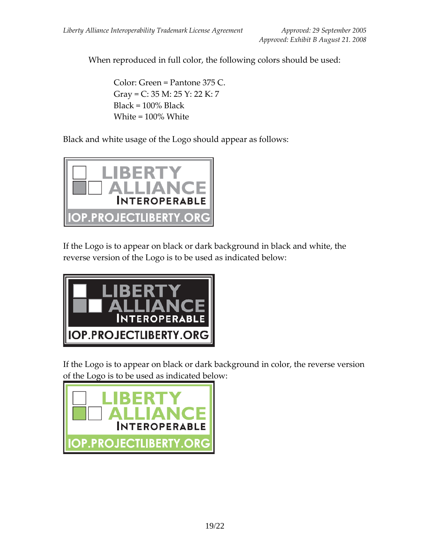When reproduced in full color, the following colors should be used:

Color: Green = Pantone 375 C. Gray = C: 35 M: 25 Y: 22 K: 7  $Black = 100\%$  Black White = 100% White

Black and white usage of the Logo should appear as follows:



If the Logo is to appear on black or dark background in black and white, the reverse version of the Logo is to be used as indicated below:



If the Logo is to appear on black or dark background in color, the reverse version of the Logo is to be used as indicated below:

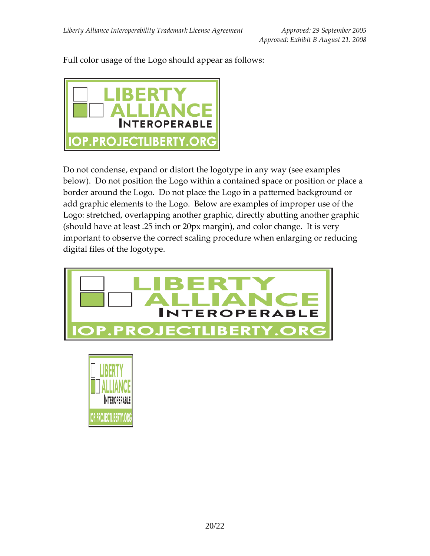Full color usage of the Logo should appear as follows:



Do not condense, expand or distort the logotype in any way (see examples below). Do not position the Logo within a contained space or position or place a border around the Logo. Do not place the Logo in a patterned background or add graphic elements to the Logo. Below are examples of improper use of the Logo: stretched, overlapping another graphic, directly abutting another graphic (should have at least .25 inch or 20px margin), and color change. It is very important to observe the correct scaling procedure when enlarging or reducing digital files of the logotype.



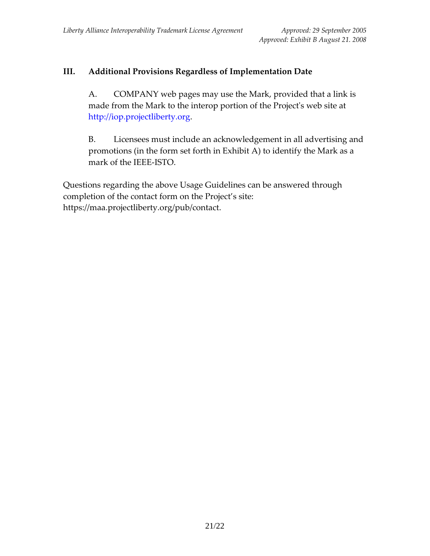# **III. Additional Provisions Regardless of Implementation Date**

A. COMPANY web pages may use the Mark, provided that a link is made from the Mark to the interop portion of the Project's web site at http://iop.projectliberty.org.

B. Licensees must include an acknowledgement in all advertising and promotions (in the form set forth in Exhibit A) to identify the Mark as a mark of the IEEE‐ISTO.

Questions regarding the above Usage Guidelines can be answered through completion of the contact form on the Project's site: https://maa.projectliberty.org/pub/contact.